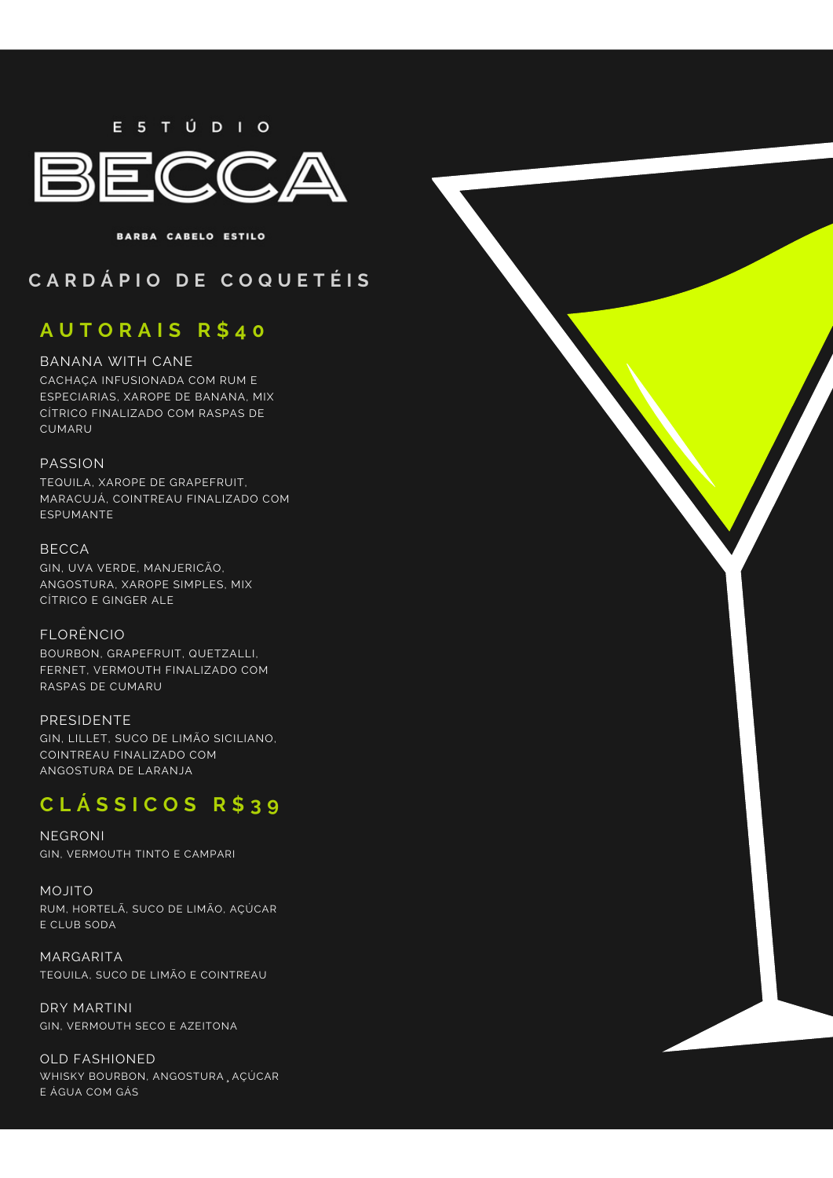E 5 T Ú D I O



BARBA CABELO ESTILO

#### **C A R D Á P I O D E C O Q U E T É I S**

## **A U T O R A I S R \$ 4 0**

#### BANANA WITH CANE

CACHAÇA INFUSIONADA COM RUM E ESPECIARIAS, XAROPE DE BANANA, MIX CÍTRICO FINALIZADO COM RASPAS DE **CUMARU** 

#### PASSION

TEQUILA, XAROPE DE GRAPEFRUIT, MARACUJÁ, COINTREAU FINALIZADO COM ESPUMANTE

#### BECCA

GIN, UVA VERDE, MANJERICÃO, ANGOSTURA, XAROPE SIMPLES, MIX CÍTRICO E GINGER ALE

FLORÊNCIO BOURBON, GRAPEFRUIT, QUETZALLI, FERNET, VERMOUTH FINALIZADO COM RASPAS DE CUMARU

PRESIDENTE GIN, LILLET, SUCO DE LIMÃO SICILIANO, COINTREAU FINALIZADO COM ANGOSTURA DE LARANJA

# **C L Á S S I C O S R \$ 3 9**

NEGRONI GIN, VERMOUTH TINTO E CAMPARI

MOJITO RUM, HORTELÃ, SUCO DE LIMÃO, AÇÚCAR E CLUB SODA

MARGARITA TEQUILA, SUCO DE LIMÃO E COINTREAU

DRY MARTINI GIN, VERMOUTH SECO E AZEITONA

OLD FASHIONED WHISKY BOURBON, ANGOSTURA, AÇÚCAR E ÁGUA COM GÁS